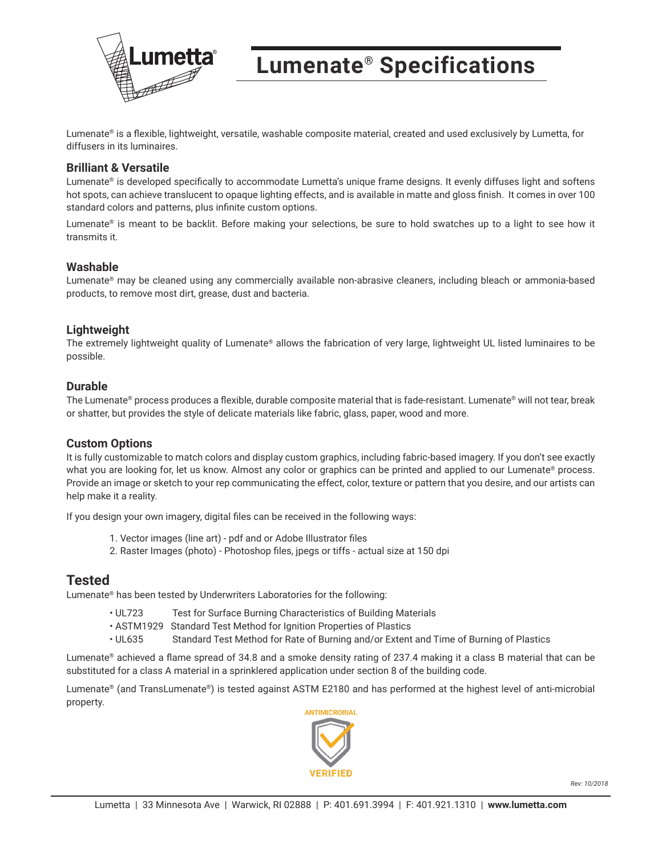

## **Lumenate® Specifications**

Lumenate® is a flexible, lightweight, versatile, washable composite material, created and used exclusively by Lumetta, for diffusers in its luminaires.

#### **Brilliant & Versatile**

Lumenate® is developed specifically to accommodate Lumetta's unique frame designs. It evenly diffuses light and softens hot spots, can achieve translucent to opaque lighting effects, and is available in matte and gloss finish. It comes in over 100 standard colors and patterns, plus infinite custom options.

Lumenate® is meant to be backlit. Before making your selections, be sure to hold swatches up to a light to see how it transmits it.

#### **Washable**

Lumenate® may be cleaned using any commercially available non-abrasive cleaners, including bleach or ammonia-based products, to remove most dirt, grease, dust and bacteria.

#### **Lightweight**

The extremely lightweight quality of Lumenate® allows the fabrication of very large, lightweight UL listed luminaires to be possible.

#### **Durable**

The Lumenate® process produces a flexible, durable composite material that is fade-resistant. Lumenate® will not tear, break or shatter, but provides the style of delicate materials like fabric, glass, paper, wood and more.

#### **Custom Options**

It is fully customizable to match colors and display custom graphics, including fabric-based imagery. If you don't see exactly what you are looking for, let us know. Almost any color or graphics can be printed and applied to our Lumenate® process. Provide an image or sketch to your rep communicating the effect, color, texture or pattern that you desire, and our artists can help make it a reality.

If you design your own imagery, digital files can be received in the following ways:

- 1. Vector images (line art) pdf and or Adobe Illustrator files
- 2. Raster Images (photo) Photoshop files, jpegs or tiffs actual size at 150 dpi

### **Tested**

Lumenate® has been tested by Underwriters Laboratories for the following:

- UL723 Test for Surface Burning Characteristics of Building Materials
- ASTM1929 Standard Test Method for Ignition Properties of Plastics
- UL635 Standard Test Method for Rate of Burning and/or Extent and Time of Burning of Plastics

Lumenate® achieved a flame spread of 34.8 and a smoke density rating of 237.4 making it a class B material that can be substituted for a class A material in a sprinklered application under section 8 of the building code.

Lumenate® (and TransLumenate®) is tested against ASTM E2180 and has performed at the highest level of anti-microbial property.